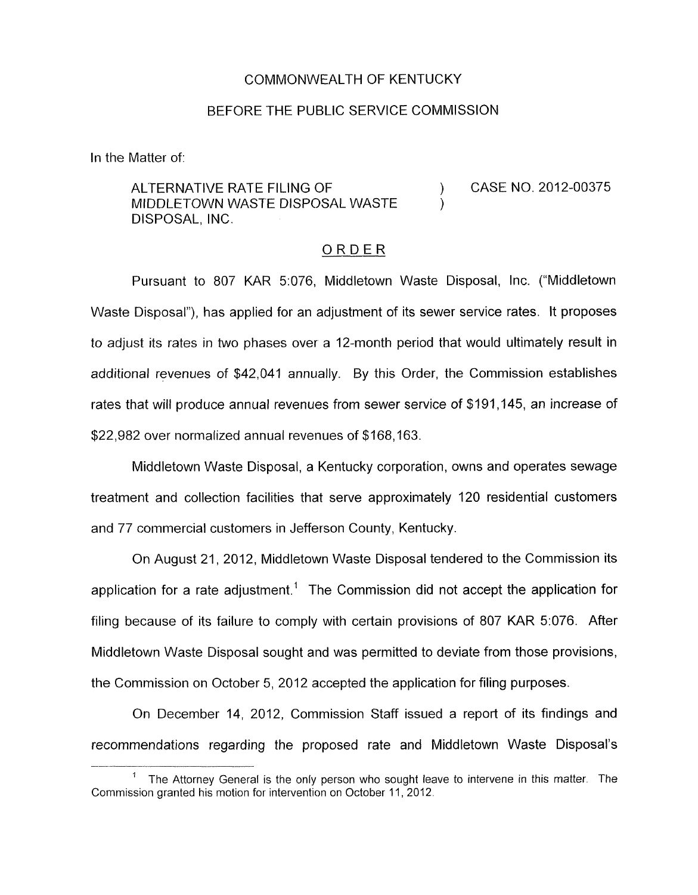### COMMONWEALTH OF KENTUCKY

#### BEFORE THE PUBLIC SERVICE COMMISSION

In the Matter of:

ALTERNATIVE RATE FILING OF  $(2012-00375)$ MIDDLETOWN WASTE DISPOSAL WASTE DISPOSAL, INC.

### ORDER

Pursuant to 807 KAR 5:076, Middletown Waste Disposal, Inc. ("Middletown Waste Disposal"), has applied for an adjustment of its sewer service rates. It proposes to adjust its rates in two phases over a 12-month period that would ultimately result in additional revenues of \$42,041 annually. By this Order, the Commission establishes rates that will produce annual revenues from sewer service of \$191,145, an increase of \$22,982 over normalized annual revenues of \$168,163.

Middletown Waste Disposal, a Kentucky corporation, owns and operates sewage treatment and collection facilities that serve approximately 120 residential customers and 77 commercial customers in Jefferson County, Kentucky.

On August 21, 2012, Middletown Waste Disposal tendered to the Commission its application for a rate adjustment.<sup>1</sup> The Commission did not accept the application for filing because of its failure to comply with certain provisions of 807 KAR 5:076. After Middletown Waste Disposal sought and was permitted to deviate from those provisions, the Commission on October 5, 2012 accepted the application for filing purposes.

On December 14, 2012, Commission Staff issued a report of its findings and recommendations regarding the proposed rate and Middletown Waste Disposal's

<sup>&</sup>lt;sup>1</sup> The Attorney General is the only person who sought leave to intervene in this matter. The Commission granted his motion for intervention on October 11, 2012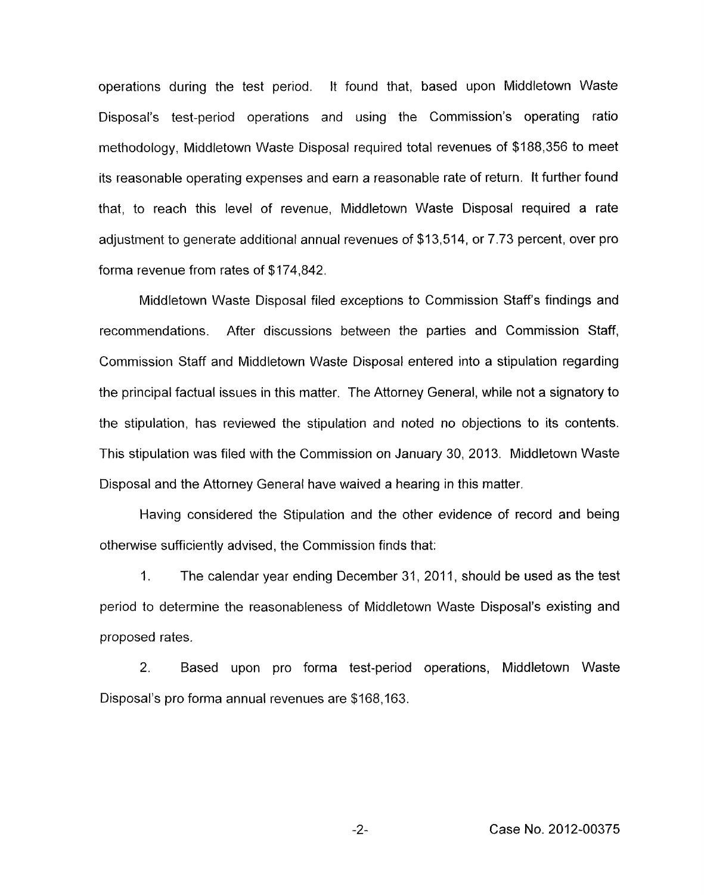operations during the test period. It found that, based upon Middletown Waste Disposal's test-period operations and using the Commission's operating ratio methodology, Middletown Waste Disposal required total revenues of \$1 88,356 to meet its reasonable operating expenses and earn a reasonable rate of return. It further found that, to reach this level of revenue, Middletown Waste Disposal required a rate adjustment to generate additional annual revenues of \$13,514, or 7.73 percent, over pro forma revenue from rates of \$174,842.

Middletown Waste Disposal filed exceptions to Commission Staff's findings and recommendations. After discussions between the parties and Commission Staff, Commission Staff and Middletown Waste Disposal entered into a stipulation regarding the principal factual issues in this matter. The Attorney General, while not a signatory to the stipulation, has reviewed the stipulation and noted no objections to its contents. This stipulation was filed with the Commission on January 30, 2013. Middletown Waste Disposal and the Attorney General have waived a hearing in this matter.

Having considered the Stipulation and the other evidence of record and being otherwise sufficiently advised, the Commission finds that:

1. The calendar year ending December 31, 2011, should be used as the test period to determine the reasonableness of Middletown Waste Disposal's existing and proposed rates.

2. Based upon pro forma test-period operations, Middletown Waste Disposal's pro forma annual revenues are \$168,163.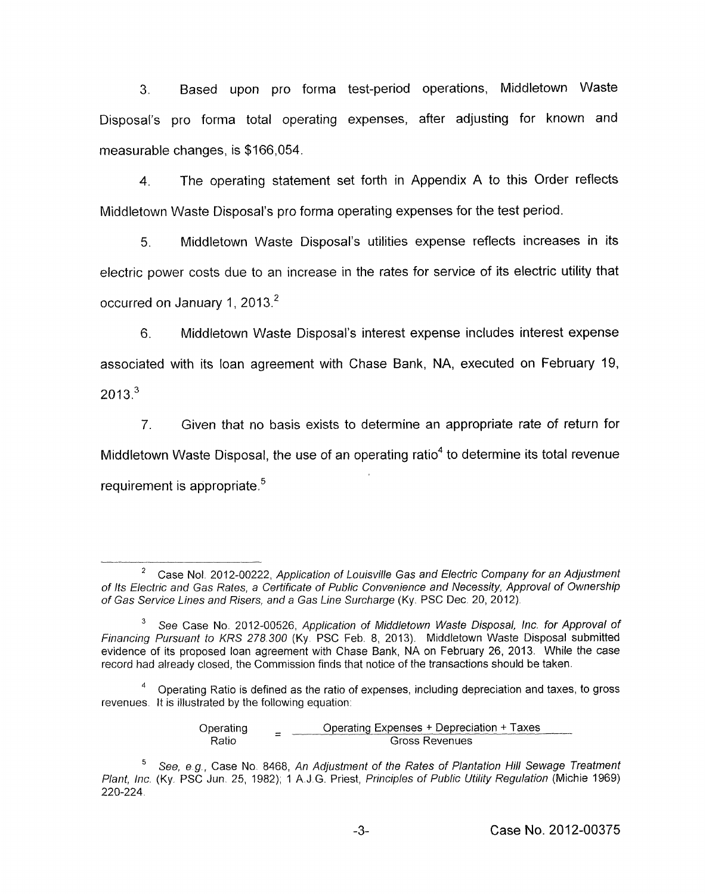3. Based upon pro forma test-period operations, Middletown Waste Disposal's pro forma total operating expenses, after adjusting for known and measurable changes, is \$166,054.

4. The operating statement set forth in Appendix A to this Order reflects Middletown Waste Disposal's pro forma operating expenses for the test period.

*5.* Middletown Waste Disposal's utilities expense reflects increases in its electric power costs due to an increase in the rates for service of its electric utility that occurred on January 1, 2013.<sup>2</sup>

6. Middletown Waste Disposal's interest expense includes interest expense associated with its loan agreement with Chase Bank, NA, executed on February 19,  $2013<sup>3</sup>$ 

7. Given that no basis exists to determine an appropriate rate of return for Middletown Waste Disposal, the use of an operating ratio<sup>4</sup> to determine its total revenue requirement is appropriate. $5$ 

Operating  $=$  Operating Expenses + Depreciation + Taxes<br>Ratio Gross Revenues

Case Nol. 2012-00222, *Application of Louisville Gas and Electric Company for an Adjustment of Its Electric arid Gas Rates, a Certificate of Public Coiivenience and Necessif,y, Approval of Ownership of Gas Service Lines and Risers, and a Gas Line Surcharge* (Ky. PSC Dec 20, 2012). 2

See Case No. 2012-00526, *Application of Middletown Waste Disposal, Inc. for Approval of Financing Pursuant to KRS 278.300* (Ky. PSC Feb. 8, 2013). Middletown Waste Disposal submitted evidence of its proposed loan agreement with Chase Bank, NA on February 26, 2013. While the case record had already closed, the Commission finds that notice of the transactions should be taken. **3** 

Operating Ratio is defined as the ratio of expenses, including depreciation and taxes, to gross revenues. It is illustrated by the following equation: *4* 

*See,* e *g.,* Case No 8468, *An Adjustment of the Rates of Plantation Hill Sewage Treatment Plant, Inc.* (Ky PSC Juri. 25, 1982); 1 A.J G. Priest, *Principles of Public Utility Regulation* (Michie 1969) **5**  220-224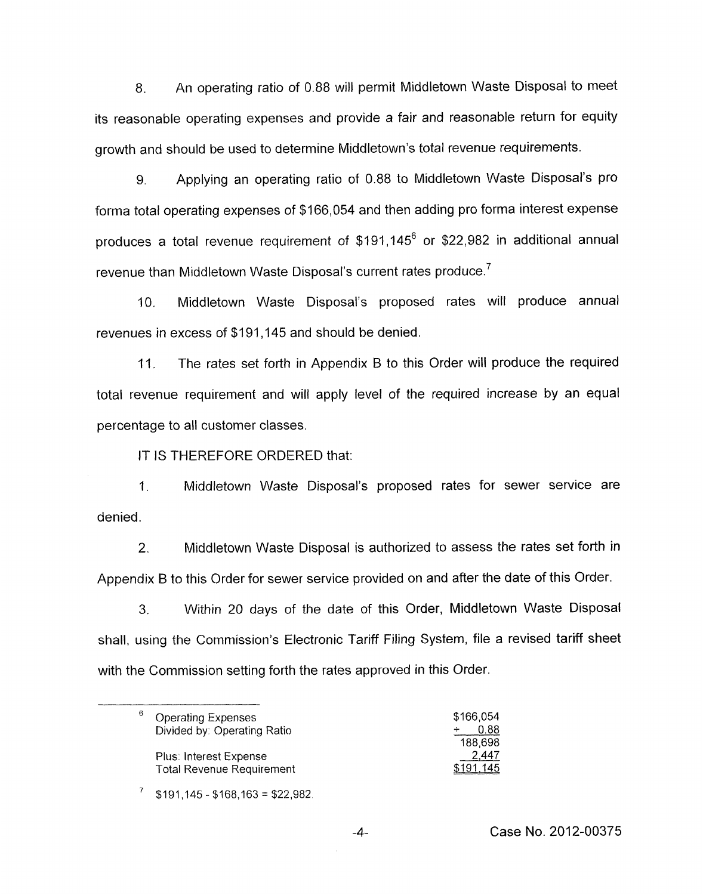8. An operating ratio of 0.88 will permit Middletown Waste Disposal to meet its reasonable operating expenses and provide a fair and reasonable return for equity growth and should be used to determine Middletown's total revenue requirements.

9. Applying an operating ratio of 0.88 to Middletown Waste Disposal's pro forma total operating expenses of \$166,054 and then adding pro forma interest expense produces a total revenue requirement of \$191,145<sup>6</sup> or \$22,982 in additional annual revenue than Middletown Waste Disposal's current rates produce.<sup>7</sup>

IO. Middletown Waste Disposal's proposed rates will produce annual revenues in excess of \$191,145 and should be denied.

11. The rates set forth in Appendix **B** to this Order will produce the required total revenue requirement and will apply level of the required increase by an equal percentage to all customer classes.

IT IS THEREFORE ORDERED that:

1. Middletown Waste Disposal's proposed rates for sewer service are denied.

2. Middletown Waste Disposal is authorized to assess the rates set forth in Appendix **B** to this Order for sewer service provided on and after the date of this Order.

**3.** Within 20 days of the date of this Order, Middletown Waste Disposal shall, using the Commission's Electronic Tariff Filing System, file a revised tariff sheet with the Commission setting forth the rates approved in this Order.

| 6<br><b>Operating Expenses</b>   | \$166,054 |
|----------------------------------|-----------|
| Divided by: Operating Ratio      | 0.88      |
|                                  | 188.698   |
| Plus: Interest Expense           | 2,447     |
| <b>Total Revenue Requirement</b> | \$191.145 |

 $$191,145 - $168,163 = $22,982$ 

Case No. 2012-00375

**-4-**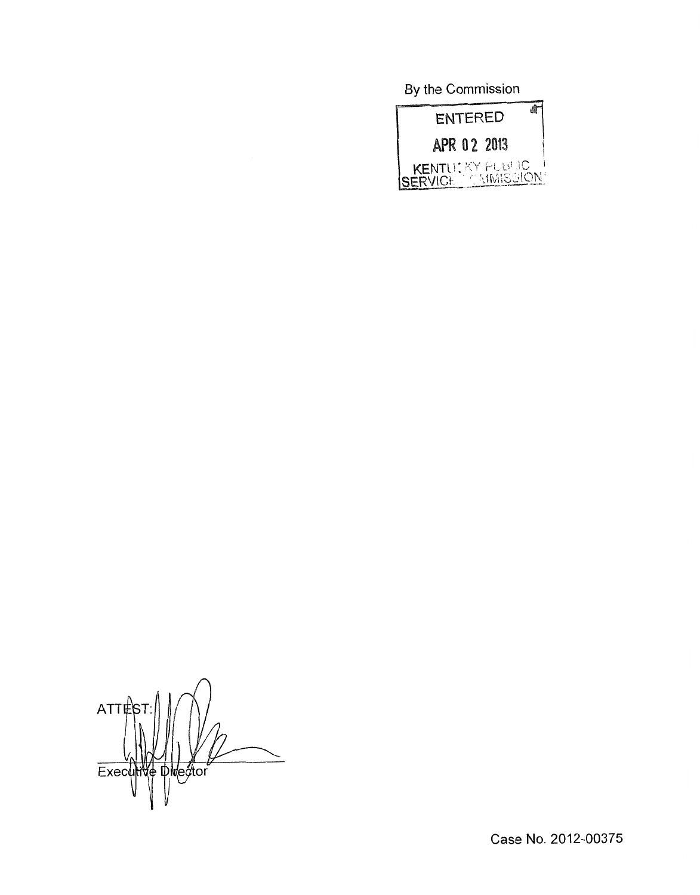By the Commission



 $ATTES$ Executive Diversion

Case **No.** 2012-00375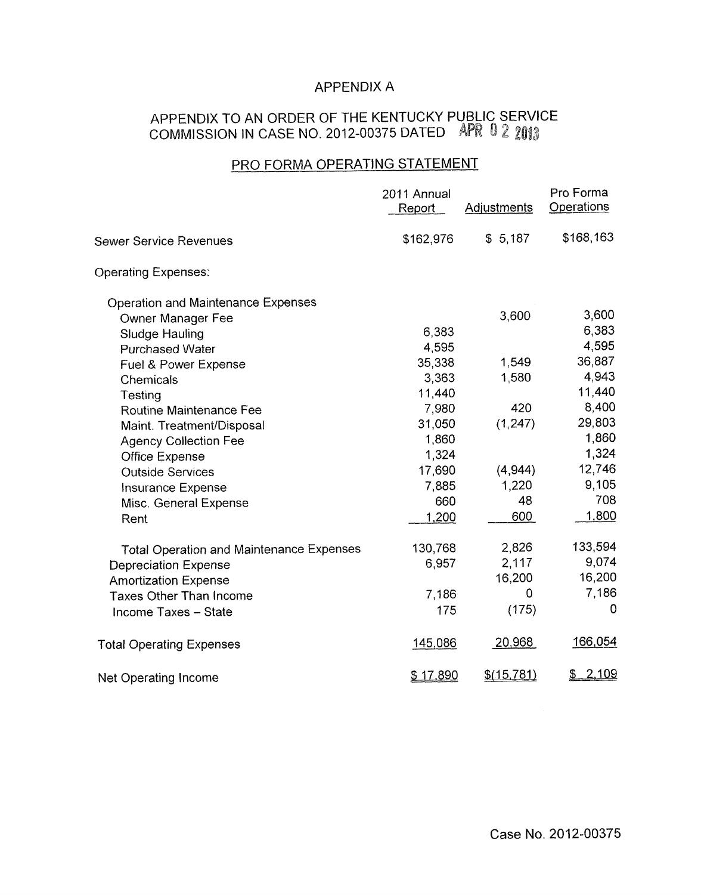# APPENDIX A

## APPENDIX TO AN ORDER OF THE KENTUCKY PUBLIC SERVICE <code>COMMISSION</code> IN CASE NO. 2012-00375 DATED APR U <code>Z</code>

# PRO FORMA OPERATING STATEMENT

|                                                 | 2011 Annual<br>Report | <b>Adjustments</b> | Pro Forma<br>Operations |
|-------------------------------------------------|-----------------------|--------------------|-------------------------|
| <b>Sewer Service Revenues</b>                   | \$162,976             | \$5,187            | \$168,163               |
| <b>Operating Expenses:</b>                      |                       |                    |                         |
| <b>Operation and Maintenance Expenses</b>       |                       |                    |                         |
| Owner Manager Fee                               |                       | 3,600              | 3,600                   |
| Sludge Hauling                                  | 6,383                 |                    | 6,383                   |
| <b>Purchased Water</b>                          | 4,595                 |                    | 4,595                   |
| Fuel & Power Expense                            | 35,338                | 1,549              | 36,887                  |
| Chemicals                                       | 3,363                 | 1,580              | 4,943                   |
| Testing                                         | 11,440                |                    | 11,440                  |
| Routine Maintenance Fee                         | 7,980                 | 420                | 8,400                   |
| Maint. Treatment/Disposal                       | 31,050                | (1, 247)           | 29,803                  |
| <b>Agency Collection Fee</b>                    | 1,860                 |                    | 1,860                   |
| <b>Office Expense</b>                           | 1,324                 |                    | 1,324                   |
| <b>Outside Services</b>                         | 17,690                | (4,944)            | 12,746                  |
| <b>Insurance Expense</b>                        | 7,885                 | 1,220              | 9,105                   |
| Misc. General Expense                           | 660                   | 48                 | 708                     |
| Rent                                            | 1,200                 | 600                | 1,800                   |
| <b>Total Operation and Maintenance Expenses</b> | 130,768               | 2,826              | 133,594                 |
| <b>Depreciation Expense</b>                     | 6,957                 | 2,117              | 9,074                   |
| <b>Amortization Expense</b>                     |                       | 16,200             | 16,200                  |
| <b>Taxes Other Than Income</b>                  | 7,186                 | 0                  | 7,186                   |
| Income Taxes - State                            | 175                   | (175)              | 0                       |
| <b>Total Operating Expenses</b>                 | 145,086               | 20,968             | 166,054                 |
| Net Operating Income                            | \$17,890              | \$(15, 781)        | <u>2,109</u><br>\$      |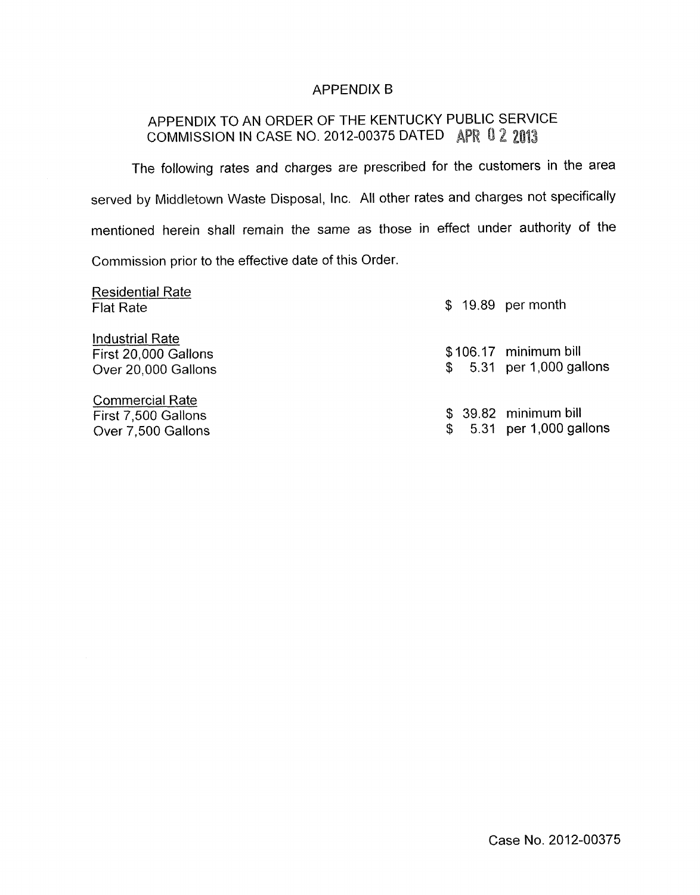### APPENDIX B

# APPENDIX TO AN ORDER OF THE KENTUCKY PUBLIC SERVICE COMMISSION IN CASE NO. 2012-00375 DATED APR 0 2 2013

The following rates and charges are prescribed for the customers in the area served by Middletown Waste Disposal, Inc. All other rates and charges not specifically mentioned herein shall remain the same as those in effect under authority of the Commission prior to the effective date of this Order.

| <b>Residential Rate</b><br><b>Flat Rate</b>                           |  | \$ 19.89 per month                                 |
|-----------------------------------------------------------------------|--|----------------------------------------------------|
| <b>Industrial Rate</b><br>First 20,000 Gallons<br>Over 20,000 Gallons |  | \$106.17 minimum bill<br>\$ 5.31 per 1,000 gallons |
| <b>Commercial Rate</b><br>First 7,500 Gallons<br>Over 7,500 Gallons   |  | \$ 39.82 minimum bill<br>5.31 per 1,000 gallons    |

Case No. 2012-00375